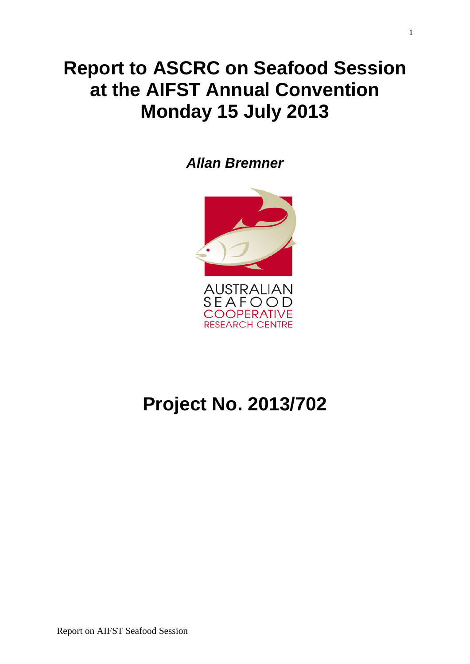## **Report to ASCRC on Seafood Session at the AIFST Annual Convention Monday 15 July 2013**

*Allan Bremner*



# **Project No. 2013/702**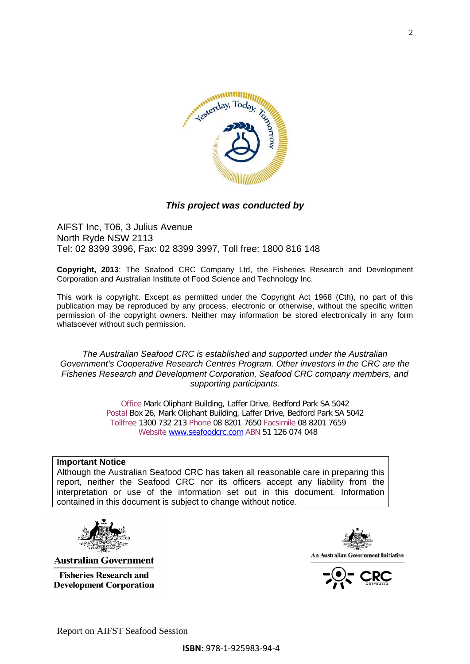

#### *This project was conducted by*

AIFST Inc, T06, 3 Julius Avenue North Ryde NSW 2113 Tel: 02 8399 3996, Fax: 02 8399 3997, Toll free: 1800 816 148

**Copyright, 2013**: The Seafood CRC Company Ltd, the Fisheries Research and Development Corporation and Australian Institute of Food Science and Technology Inc.

This work is copyright. Except as permitted under the Copyright Act 1968 (Cth), no part of this publication may be reproduced by any process, electronic or otherwise, without the specific written permission of the copyright owners. Neither may information be stored electronically in any form whatsoever without such permission.

*The Australian Seafood CRC is established and supported under the Australian Government's Cooperative Research Centres Program. Other investors in the CRC are the Fisheries Research and Development Corporation, Seafood CRC company members, and supporting participants.*

> Office Mark Oliphant Building, Laffer Drive, Bedford Park SA 5042 Postal Box 26, Mark Oliphant Building, Laffer Drive, Bedford Park SA 5042 Tollfree 1300 732 213 Phone 08 8201 7650 Facsimile 08 8201 7659 Website [www.seafoodcrc.com](http://www.seafoodcrc.com/) ABN 51 126 074 048

#### **Important Notice**

Although the Australian Seafood CRC has taken all reasonable care in preparing this report, neither the Seafood CRC nor its officers accept any liability from the interpretation or use of the information set out in this document. Information contained in this document is subject to change without notice.



**Australian Government** 

**Fisheries Research and Development Corporation** 



An Australian Government Initiative

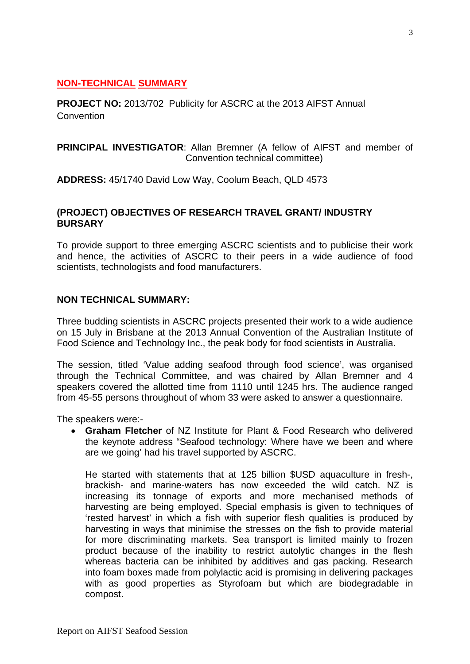### **NON-TECHNICAL SUMMARY**

**PROJECT NO:** 2013/702 Publicity for ASCRC at the 2013 AIFST Annual **Convention** 

**PRINCIPAL INVESTIGATOR**: Allan Bremner (A fellow of AIFST and member of Convention technical committee)

**ADDRESS:** 45/1740 David Low Way, Coolum Beach, QLD 4573

#### **(PROJECT) OBJECTIVES OF RESEARCH TRAVEL GRANT/ INDUSTRY BURSARY**

To provide support to three emerging ASCRC scientists and to publicise their work and hence, the activities of ASCRC to their peers in a wide audience of food scientists, technologists and food manufacturers.

#### **NON TECHNICAL SUMMARY:**

Three budding scientists in ASCRC projects presented their work to a wide audience on 15 July in Brisbane at the 2013 Annual Convention of the Australian Institute of Food Science and Technology Inc., the peak body for food scientists in Australia.

The session, titled 'Value adding seafood through food science', was organised through the Technical Committee, and was chaired by Allan Bremner and 4 speakers covered the allotted time from 1110 until 1245 hrs. The audience ranged from 45-55 persons throughout of whom 33 were asked to answer a questionnaire.

The speakers were:-

• **Graham Fletcher** of NZ Institute for Plant & Food Research who delivered the keynote address "Seafood technology: Where have we been and where are we going' had his travel supported by ASCRC.

He started with statements that at 125 billion \$USD aquaculture in fresh-, brackish- and marine-waters has now exceeded the wild catch. NZ is increasing its tonnage of exports and more mechanised methods of harvesting are being employed. Special emphasis is given to techniques of 'rested harvest' in which a fish with superior flesh qualities is produced by harvesting in ways that minimise the stresses on the fish to provide material for more discriminating markets. Sea transport is limited mainly to frozen product because of the inability to restrict autolytic changes in the flesh whereas bacteria can be inhibited by additives and gas packing. Research into foam boxes made from polylactic acid is promising in delivering packages with as good properties as Styrofoam but which are biodegradable in compost.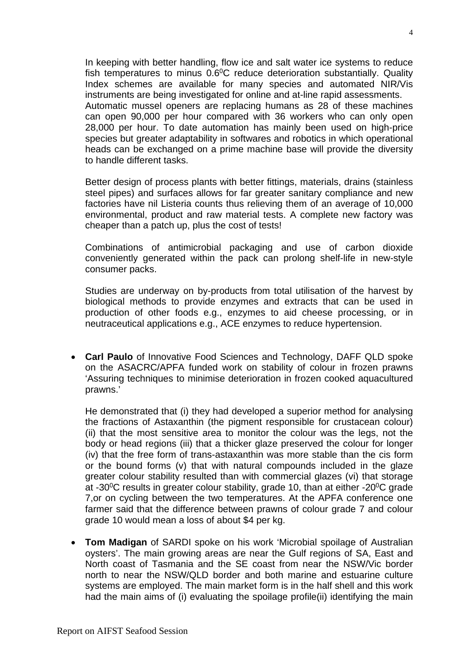In keeping with better handling, flow ice and salt water ice systems to reduce fish temperatures to minus  $0.6\degree$ C reduce deterioration substantially. Quality Index schemes are available for many species and automated NIR/Vis instruments are being investigated for online and at-line rapid assessments. Automatic mussel openers are replacing humans as 28 of these machines can open 90,000 per hour compared with 36 workers who can only open 28,000 per hour. To date automation has mainly been used on high-price species but greater adaptability in softwares and robotics in which operational heads can be exchanged on a prime machine base will provide the diversity to handle different tasks.

Better design of process plants with better fittings, materials, drains (stainless steel pipes) and surfaces allows for far greater sanitary compliance and new factories have nil Listeria counts thus relieving them of an average of 10,000 environmental, product and raw material tests. A complete new factory was cheaper than a patch up, plus the cost of tests!

Combinations of antimicrobial packaging and use of carbon dioxide conveniently generated within the pack can prolong shelf-life in new-style consumer packs.

Studies are underway on by-products from total utilisation of the harvest by biological methods to provide enzymes and extracts that can be used in production of other foods e.g., enzymes to aid cheese processing, or in neutraceutical applications e.g., ACE enzymes to reduce hypertension.

• **Carl Paulo** of Innovative Food Sciences and Technology, DAFF QLD spoke on the ASACRC/APFA funded work on stability of colour in frozen prawns 'Assuring techniques to minimise deterioration in frozen cooked aquacultured prawns.'

He demonstrated that (i) they had developed a superior method for analysing the fractions of Astaxanthin (the pigment responsible for crustacean colour) (ii) that the most sensitive area to monitor the colour was the legs, not the body or head regions (iii) that a thicker glaze preserved the colour for longer (iv) that the free form of trans-astaxanthin was more stable than the cis form or the bound forms (v) that with natural compounds included in the glaze greater colour stability resulted than with commercial glazes (vi) that storage at -30 $\degree$ C results in greater colour stability, grade 10, than at either -20 $\degree$ C grade 7,or on cycling between the two temperatures. At the APFA conference one farmer said that the difference between prawns of colour grade 7 and colour grade 10 would mean a loss of about \$4 per kg.

• **Tom Madigan** of SARDI spoke on his work 'Microbial spoilage of Australian oysters'. The main growing areas are near the Gulf regions of SA, East and North coast of Tasmania and the SE coast from near the NSW/Vic border north to near the NSW/QLD border and both marine and estuarine culture systems are employed. The main market form is in the half shell and this work had the main aims of (i) evaluating the spoilage profile(ii) identifying the main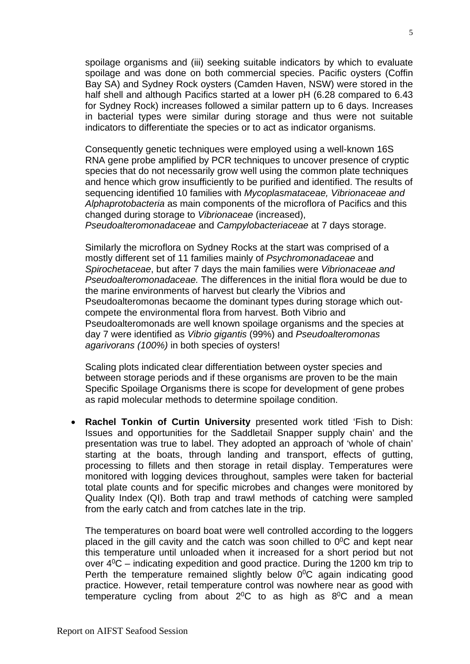spoilage organisms and (iii) seeking suitable indicators by which to evaluate spoilage and was done on both commercial species. Pacific oysters (Coffin Bay SA) and Sydney Rock oysters (Camden Haven, NSW) were stored in the half shell and although Pacifics started at a lower pH (6.28 compared to 6.43 for Sydney Rock) increases followed a similar pattern up to 6 days. Increases in bacterial types were similar during storage and thus were not suitable indicators to differentiate the species or to act as indicator organisms.

Consequently genetic techniques were employed using a well-known 16S RNA gene probe amplified by PCR techniques to uncover presence of cryptic species that do not necessarily grow well using the common plate techniques and hence which grow insufficiently to be purified and identified. The results of sequencing identified 10 families with *Mycoplasmataceae, Vibrionaceae and Alphaprotobacteria* as main components of the microflora of Pacifics and this changed during storage to *Vibrionaceae* (increased),

*Pseudoalteromonadaceae* and *Campylobacteriaceae* at 7 days storage.

Similarly the microflora on Sydney Rocks at the start was comprised of a mostly different set of 11 families mainly of *Psychromonadaceae* and *Spirochetaceae*, but after 7 days the main families were *Vibrionaceae and Pseudoalteromonadaceae.* The differences in the initial flora would be due to the marine environments of harvest but clearly the Vibrios and Pseudoalteromonas becaome the dominant types during storage which outcompete the environmental flora from harvest. Both Vibrio and Pseudoalteromonads are well known spoilage organisms and the species at day 7 were identified as *Vibrio gigantis* (99%) and *Pseudoalteromonas agarivorans (100%)* in both species of oysters!

Scaling plots indicated clear differentiation between oyster species and between storage periods and if these organisms are proven to be the main Specific Spoilage Organisms there is scope for development of gene probes as rapid molecular methods to determine spoilage condition.

• **Rachel Tonkin of Curtin University** presented work titled 'Fish to Dish: Issues and opportunities for the Saddletail Snapper supply chain' and the presentation was true to label. They adopted an approach of 'whole of chain' starting at the boats, through landing and transport, effects of gutting, processing to fillets and then storage in retail display. Temperatures were monitored with logging devices throughout, samples were taken for bacterial total plate counts and for specific microbes and changes were monitored by Quality Index (QI). Both trap and trawl methods of catching were sampled from the early catch and from catches late in the trip.

The temperatures on board boat were well controlled according to the loggers placed in the gill cavity and the catch was soon chilled to  $0^0C$  and kept near this temperature until unloaded when it increased for a short period but not over  $4^{\circ}$ C – indicating expedition and good practice. During the 1200 km trip to Perth the temperature remained slightly below  $0^{\circ}$ C again indicating good practice. However, retail temperature control was nowhere near as good with temperature cycling from about  $2^0C$  to as high as  $8^0C$  and a mean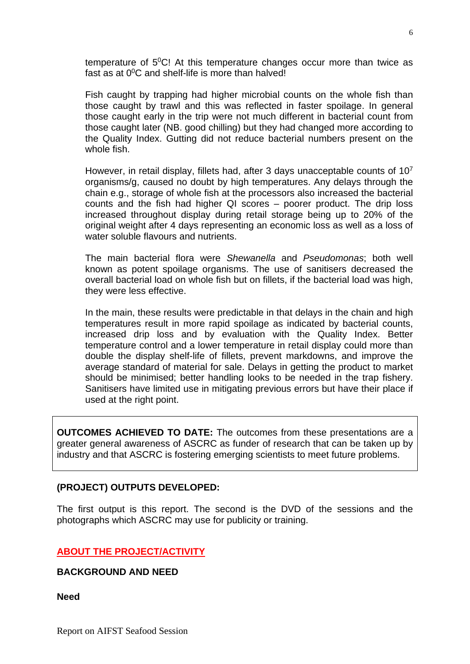temperature of  $5^{\circ}$ C! At this temperature changes occur more than twice as fast as at  $0^0C$  and shelf-life is more than halved!

Fish caught by trapping had higher microbial counts on the whole fish than those caught by trawl and this was reflected in faster spoilage. In general those caught early in the trip were not much different in bacterial count from those caught later (NB. good chilling) but they had changed more according to the Quality Index. Gutting did not reduce bacterial numbers present on the whole fish.

However, in retail display, fillets had, after 3 days unacceptable counts of 10<sup>7</sup> organisms/g, caused no doubt by high temperatures. Any delays through the chain e.g., storage of whole fish at the processors also increased the bacterial counts and the fish had higher QI scores – poorer product. The drip loss increased throughout display during retail storage being up to 20% of the original weight after 4 days representing an economic loss as well as a loss of water soluble flavours and nutrients.

The main bacterial flora were *Shewanella* and *Pseudomonas*; both well known as potent spoilage organisms. The use of sanitisers decreased the overall bacterial load on whole fish but on fillets, if the bacterial load was high, they were less effective.

In the main, these results were predictable in that delays in the chain and high temperatures result in more rapid spoilage as indicated by bacterial counts, increased drip loss and by evaluation with the Quality Index. Better temperature control and a lower temperature in retail display could more than double the display shelf-life of fillets, prevent markdowns, and improve the average standard of material for sale. Delays in getting the product to market should be minimised; better handling looks to be needed in the trap fishery. Sanitisers have limited use in mitigating previous errors but have their place if used at the right point.

**OUTCOMES ACHIEVED TO DATE:** The outcomes from these presentations are a greater general awareness of ASCRC as funder of research that can be taken up by industry and that ASCRC is fostering emerging scientists to meet future problems.

#### **(PROJECT) OUTPUTS DEVELOPED:**

The first output is this report. The second is the DVD of the sessions and the photographs which ASCRC may use for publicity or training.

#### **ABOUT THE PROJECT/ACTIVITY**

#### **BACKGROUND AND NEED**

**Need**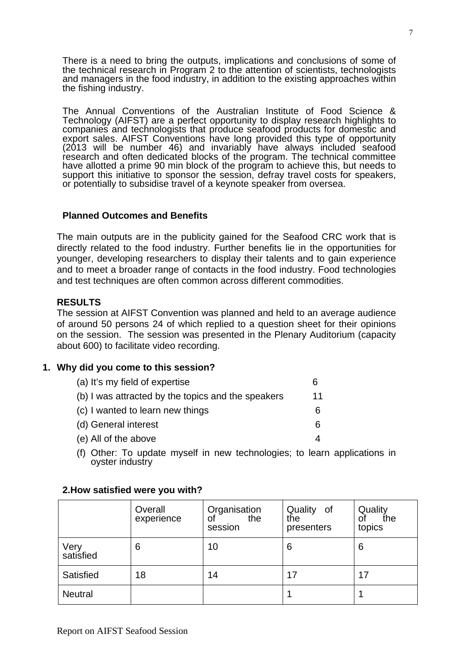There is a need to bring the outputs, implications and conclusions of some of the technical research in Program 2 to the attention of scientists, technologists and managers in the food industry, in addition to the existing approaches within the fishing industry.

The Annual Conventions of the Australian Institute of Food Science & Technology (AIFST) are a perfect opportunity to display research highlights to companies and technologists that produce seafood products for domestic and export sales. AIFST Conventions have long provided this type of opportunity (2013 will be number 46) and invariably have always included seafood research and often dedicated blocks of the program. The technical committee have allotted a prime 90 min block of the program to achieve this, but needs to support this initiative to sponsor the session, defray travel costs for speakers, or potentially to subsidise travel of a keynote speaker from oversea.

#### **Planned Outcomes and Benefits**

The main outputs are in the publicity gained for the Seafood CRC work that is directly related to the food industry. Further benefits lie in the opportunities for younger, developing researchers to display their talents and to gain experience and to meet a broader range of contacts in the food industry. Food technologies and test techniques are often common across different commodities.

#### **RESULTS**

The session at AIFST Convention was planned and held to an average audience of around 50 persons 24 of which replied to a question sheet for their opinions on the session. The session was presented in the Plenary Auditorium (capacity about 600) to facilitate video recording.

#### **1. Why did you come to this session?**

| (a) It's my field of expertise                     | 6  |
|----------------------------------------------------|----|
| (b) I was attracted by the topics and the speakers | 11 |
| (c) I wanted to learn new things                   |    |
| (d) General interest                               |    |
| (e) All of the above                               |    |

(f) Other: To update myself in new technologies; to learn applications in ovster industry

|                   | Overall<br>experience | Organisation<br>the<br>οf<br>session | Quality of<br>the<br>presenters | Quality<br>the<br>οf<br>topics |
|-------------------|-----------------------|--------------------------------------|---------------------------------|--------------------------------|
| Very<br>satisfied | 6                     | 10                                   | 6                               | 6                              |
| Satisfied         | 18                    | 14                                   | 17                              | 17                             |
| <b>Neutral</b>    |                       |                                      |                                 |                                |

#### **2.How satisfied were you with?**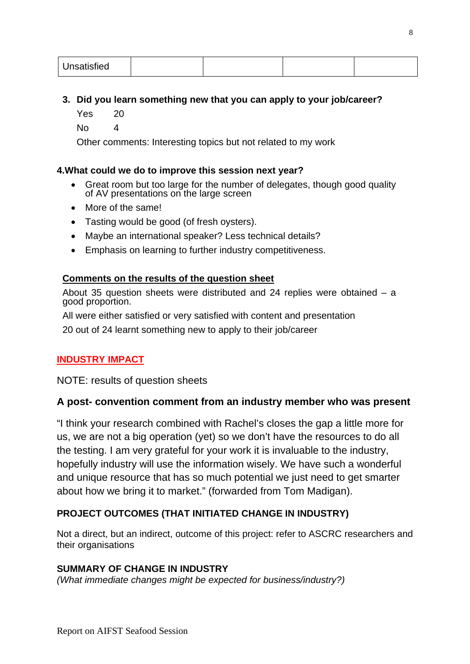| Unsatisfied |  |  |  |  |
|-------------|--|--|--|--|
|-------------|--|--|--|--|

#### **3. Did you learn something new that you can apply to your job/career?**

- Yes 20
- No 4

Other comments: Interesting topics but not related to my work

#### **4.What could we do to improve this session next year?**

- Great room but too large for the number of delegates, though good quality of AV presentations on the large screen
- More of the same!
- Tasting would be good (of fresh oysters).
- Maybe an international speaker? Less technical details?
- Emphasis on learning to further industry competitiveness.

#### **Comments on the results of the question sheet**

About 35 question sheets were distributed and 24 replies were obtained – a good proportion.

All were either satisfied or very satisfied with content and presentation

20 out of 24 learnt something new to apply to their job/career

### **INDUSTRY IMPACT**

NOTE: results of question sheets

### **A post- convention comment from an industry member who was present**

"I think your research combined with Rachel's closes the gap a little more for us, we are not a big operation (yet) so we don't have the resources to do all the testing. I am very grateful for your work it is invaluable to the industry, hopefully industry will use the information wisely. We have such a wonderful and unique resource that has so much potential we just need to get smarter about how we bring it to market." (forwarded from Tom Madigan).

### **PROJECT OUTCOMES (THAT INITIATED CHANGE IN INDUSTRY)**

Not a direct, but an indirect, outcome of this project: refer to ASCRC researchers and their organisations

#### **SUMMARY OF CHANGE IN INDUSTRY**

*(What immediate changes might be expected for business/industry?)*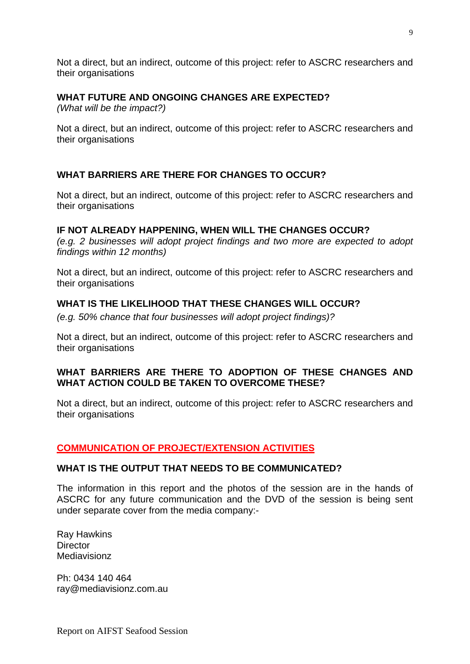Not a direct, but an indirect, outcome of this project: refer to ASCRC researchers and their organisations

#### **WHAT FUTURE AND ONGOING CHANGES ARE EXPECTED?**

*(What will be the impact?)*

Not a direct, but an indirect, outcome of this project: refer to ASCRC researchers and their organisations

#### **WHAT BARRIERS ARE THERE FOR CHANGES TO OCCUR?**

Not a direct, but an indirect, outcome of this project: refer to ASCRC researchers and their organisations

#### **IF NOT ALREADY HAPPENING, WHEN WILL THE CHANGES OCCUR?**

*(e.g. 2 businesses will adopt project findings and two more are expected to adopt findings within 12 months)*

Not a direct, but an indirect, outcome of this project: refer to ASCRC researchers and their organisations

#### **WHAT IS THE LIKELIHOOD THAT THESE CHANGES WILL OCCUR?**

*(e.g. 50% chance that four businesses will adopt project findings)?*

Not a direct, but an indirect, outcome of this project: refer to ASCRC researchers and their organisations

#### **WHAT BARRIERS ARE THERE TO ADOPTION OF THESE CHANGES AND WHAT ACTION COULD BE TAKEN TO OVERCOME THESE?**

Not a direct, but an indirect, outcome of this project: refer to ASCRC researchers and their organisations

#### **COMMUNICATION OF PROJECT/EXTENSION ACTIVITIES**

#### **WHAT IS THE OUTPUT THAT NEEDS TO BE COMMUNICATED?**

The information in this report and the photos of the session are in the hands of ASCRC for any future communication and the DVD of the session is being sent under separate cover from the media company:-

Ray Hawkins **Director** Mediavisionz

Ph: 0434 140 464 ray@mediavisionz.com.au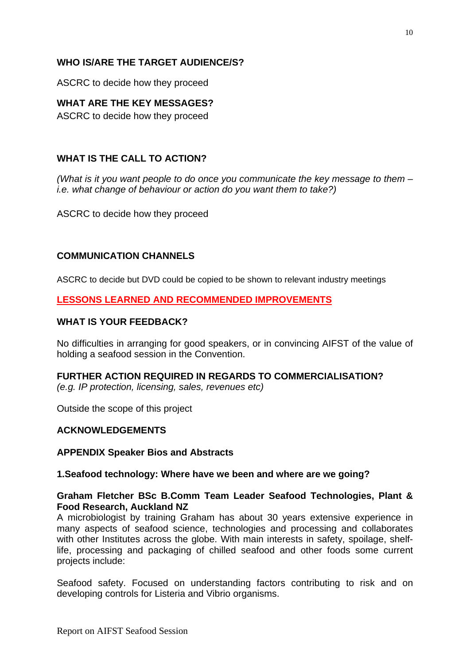#### **WHO IS/ARE THE TARGET AUDIENCE/S?**

ASCRC to decide how they proceed

#### **WHAT ARE THE KEY MESSAGES?**

ASCRC to decide how they proceed

#### **WHAT IS THE CALL TO ACTION?**

*(What is it you want people to do once you communicate the key message to them – i.e. what change of behaviour or action do you want them to take?)*

ASCRC to decide how they proceed

#### **COMMUNICATION CHANNELS**

ASCRC to decide but DVD could be copied to be shown to relevant industry meetings

#### **LESSONS LEARNED AND RECOMMENDED IMPROVEMENTS**

#### **WHAT IS YOUR FEEDBACK?**

No difficulties in arranging for good speakers, or in convincing AIFST of the value of holding a seafood session in the Convention.

#### **FURTHER ACTION REQUIRED IN REGARDS TO COMMERCIALISATION?**

*(e.g. IP protection, licensing, sales, revenues etc)*

Outside the scope of this project

#### **ACKNOWLEDGEMENTS**

#### **APPENDIX Speaker Bios and Abstracts**

#### **1.Seafood technology: Where have we been and where are we going?**

#### **Graham Fletcher BSc B.Comm Team Leader Seafood Technologies, Plant & Food Research, Auckland NZ**

A microbiologist by training Graham has about 30 years extensive experience in many aspects of seafood science, technologies and processing and collaborates with other Institutes across the globe. With main interests in safety, spoilage, shelflife, processing and packaging of chilled seafood and other foods some current projects include:

Seafood safety. Focused on understanding factors contributing to risk and on developing controls for Listeria and Vibrio organisms.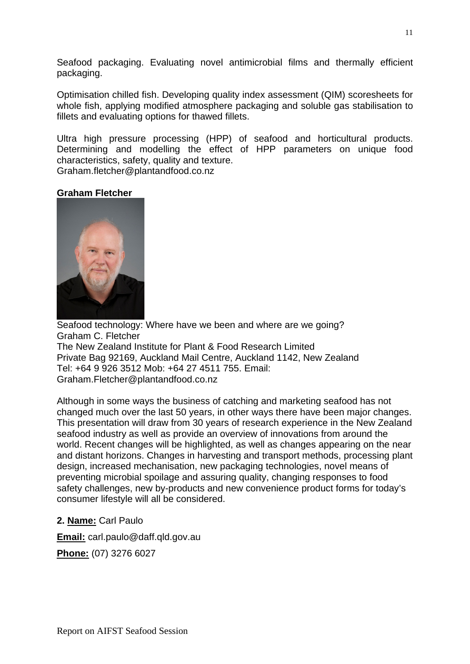Seafood packaging. Evaluating novel antimicrobial films and thermally efficient packaging.

Optimisation chilled fish. Developing quality index assessment (QIM) scoresheets for whole fish, applying modified atmosphere packaging and soluble gas stabilisation to fillets and evaluating options for thawed fillets.

Ultra high pressure processing (HPP) of seafood and horticultural products. Determining and modelling the effect of HPP parameters on unique food characteristics, safety, quality and texture.

Graham.fletcher@plantandfood.co.nz

#### **Graham Fletcher**



Seafood technology: Where have we been and where are we going? Graham C. Fletcher The New Zealand Institute for Plant & Food Research Limited Private Bag 92169, Auckland Mail Centre, Auckland 1142, New Zealand Tel: +64 9 926 3512 Mob: +64 27 4511 755. Email: Graham.Fletcher@plantandfood.co.nz

Although in some ways the business of catching and marketing seafood has not changed much over the last 50 years, in other ways there have been major changes. This presentation will draw from 30 years of research experience in the New Zealand seafood industry as well as provide an overview of innovations from around the world. Recent changes will be highlighted, as well as changes appearing on the near and distant horizons. Changes in harvesting and transport methods, processing plant design, increased mechanisation, new packaging technologies, novel means of preventing microbial spoilage and assuring quality, changing responses to food safety challenges, new by-products and new convenience product forms for today's consumer lifestyle will all be considered.

#### **2. Name:** Carl Paulo

**Email:** carl.paulo@daff.qld.gov.au

**Phone:** (07) 3276 6027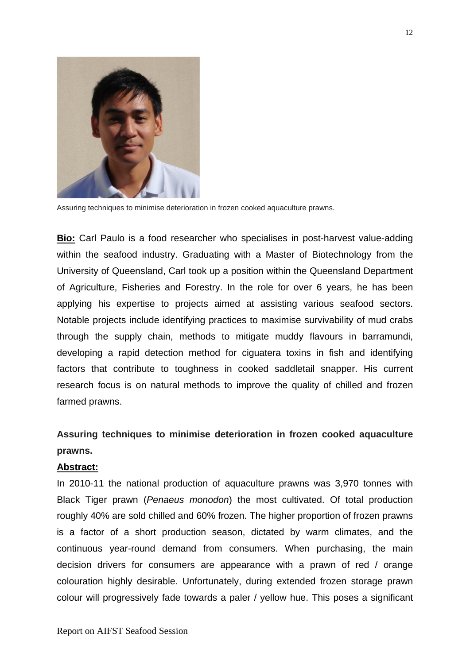

Assuring techniques to minimise deterioration in frozen cooked aquaculture prawns.

**Bio:** Carl Paulo is a food researcher who specialises in post-harvest value-adding within the seafood industry. Graduating with a Master of Biotechnology from the University of Queensland, Carl took up a position within the Queensland Department of Agriculture, Fisheries and Forestry. In the role for over 6 years, he has been applying his expertise to projects aimed at assisting various seafood sectors. Notable projects include identifying practices to maximise survivability of mud crabs through the supply chain, methods to mitigate muddy flavours in barramundi, developing a rapid detection method for ciguatera toxins in fish and identifying factors that contribute to toughness in cooked saddletail snapper. His current research focus is on natural methods to improve the quality of chilled and frozen farmed prawns.

## **Assuring techniques to minimise deterioration in frozen cooked aquaculture prawns.**

#### **Abstract:**

In 2010-11 the national production of aquaculture prawns was 3,970 tonnes with Black Tiger prawn (*Penaeus monodon*) the most cultivated. Of total production roughly 40% are sold chilled and 60% frozen. The higher proportion of frozen prawns is a factor of a short production season, dictated by warm climates, and the continuous year-round demand from consumers. When purchasing, the main decision drivers for consumers are appearance with a prawn of red / orange colouration highly desirable. Unfortunately, during extended frozen storage prawn colour will progressively fade towards a paler / yellow hue. This poses a significant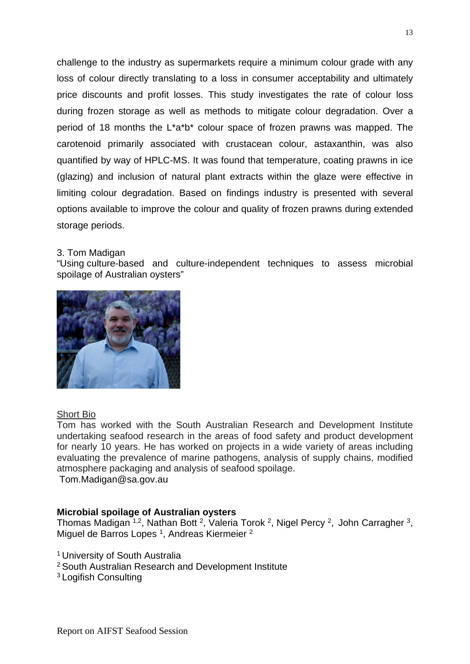challenge to the industry as supermarkets require a minimum colour grade with any loss of colour directly translating to a loss in consumer acceptability and ultimately price discounts and profit losses. This study investigates the rate of colour loss during frozen storage as well as methods to mitigate colour degradation. Over a period of 18 months the L\*a\*b\* colour space of frozen prawns was mapped. The carotenoid primarily associated with crustacean colour, astaxanthin, was also quantified by way of HPLC-MS. It was found that temperature, coating prawns in ice (glazing) and inclusion of natural plant extracts within the glaze were effective in limiting colour degradation. Based on findings industry is presented with several options available to improve the colour and quality of frozen prawns during extended storage periods.

#### 3. Tom Madigan

"Using culture-based and culture-independent techniques to assess microbial spoilage of Australian oysters"



#### **Short Bio**

Tom has worked with the South Australian Research and Development Institute undertaking seafood research in the areas of food safety and product development for nearly 10 years. He has worked on projects in a wide variety of areas including evaluating the prevalence of marine pathogens, analysis of supply chains, modified atmosphere packaging and analysis of seafood spoilage.

Tom.Madigan@sa.gov.au

#### **Microbial spoilage of Australian oysters**

Thomas Madigan <sup>1,2</sup>, Nathan Bott <sup>2</sup>, Valeria Torok <sup>2</sup>, Nigel Percy <sup>2</sup>, John Carragher <sup>3</sup>, Miguel de Barros Lopes<sup>1</sup>, Andreas Kiermeier<sup>2</sup>

- <sup>1</sup> University of South Australia
- <sup>2</sup> South Australian Research and Development Institute
- <sup>3</sup> Logifish Consulting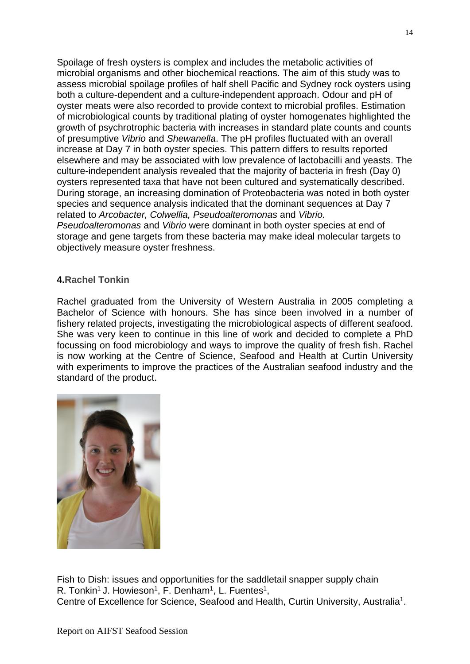Spoilage of fresh oysters is complex and includes the metabolic activities of microbial organisms and other biochemical reactions. The aim of this study was to assess microbial spoilage profiles of half shell Pacific and Sydney rock oysters using both a culture-dependent and a culture-independent approach. Odour and pH of oyster meats were also recorded to provide context to microbial profiles. Estimation of microbiological counts by traditional plating of oyster homogenates highlighted the growth of psychrotrophic bacteria with increases in standard plate counts and counts of presumptive *Vibrio* and *Shewanella*. The pH profiles fluctuated with an overall increase at Day 7 in both oyster species. This pattern differs to results reported elsewhere and may be associated with low prevalence of lactobacilli and yeasts. The culture-independent analysis revealed that the majority of bacteria in fresh (Day 0) oysters represented taxa that have not been cultured and systematically described. During storage, an increasing domination of Proteobacteria was noted in both oyster species and sequence analysis indicated that the dominant sequences at Day 7 related to *Arcobacter, Colwellia, Pseudoalteromonas* and *Vibrio. Pseudoalteromonas* and *Vibrio* were dominant in both oyster species at end of storage and gene targets from these bacteria may make ideal molecular targets to objectively measure oyster freshness.

#### **4.Rachel Tonkin**

Rachel graduated from the University of Western Australia in 2005 completing a Bachelor of Science with honours. She has since been involved in a number of fishery related projects, investigating the microbiological aspects of different seafood. She was very keen to continue in this line of work and decided to complete a PhD focussing on food microbiology and ways to improve the quality of fresh fish. Rachel is now working at the Centre of Science, Seafood and Health at Curtin University with experiments to improve the practices of the Australian seafood industry and the standard of the product.



Fish to Dish: issues and opportunities for the saddletail snapper supply chain R. Tonkin<sup>1</sup> J. Howieson<sup>1</sup>, F. Denham<sup>1</sup>, L. Fuentes<sup>1</sup>, Centre of Excellence for Science, Seafood and Health, Curtin University, Australia<sup>1</sup>.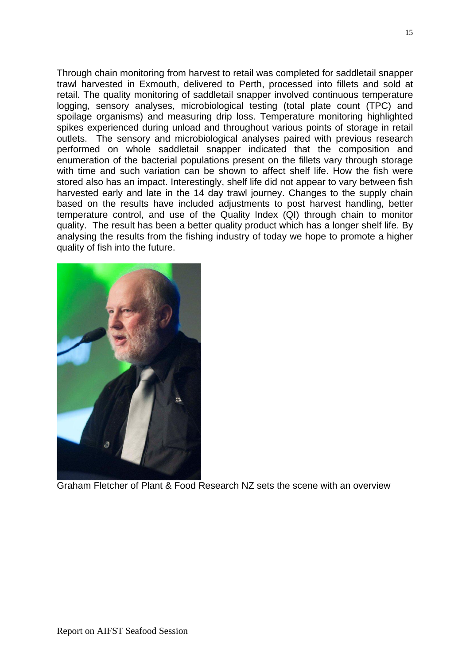Through chain monitoring from harvest to retail was completed for saddletail snapper trawl harvested in Exmouth, delivered to Perth, processed into fillets and sold at retail. The quality monitoring of saddletail snapper involved continuous temperature logging, sensory analyses, microbiological testing (total plate count (TPC) and spoilage organisms) and measuring drip loss. Temperature monitoring highlighted spikes experienced during unload and throughout various points of storage in retail outlets. The sensory and microbiological analyses paired with previous research performed on whole saddletail snapper indicated that the composition and enumeration of the bacterial populations present on the fillets vary through storage with time and such variation can be shown to affect shelf life. How the fish were stored also has an impact. Interestingly, shelf life did not appear to vary between fish harvested early and late in the 14 day trawl journey. Changes to the supply chain based on the results have included adjustments to post harvest handling, better temperature control, and use of the Quality Index (QI) through chain to monitor quality. The result has been a better quality product which has a longer shelf life. By analysing the results from the fishing industry of today we hope to promote a higher quality of fish into the future.



Graham Fletcher of Plant & Food Research NZ sets the scene with an overview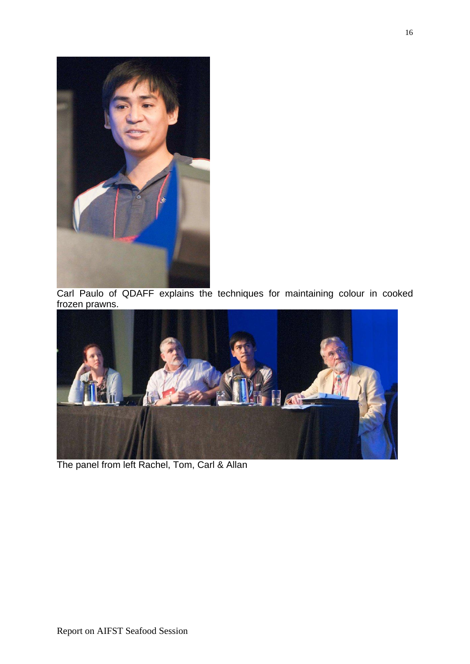

Carl Paulo of QDAFF explains the techniques for maintaining colour in cooked frozen prawns.



The panel from left Rachel, Tom, Carl & Allan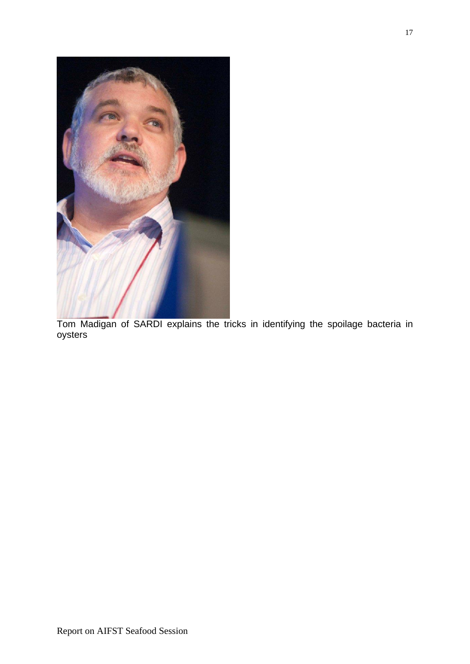

Tom Madigan of SARDI explains the tricks in identifying the spoilage bacteria in oysters